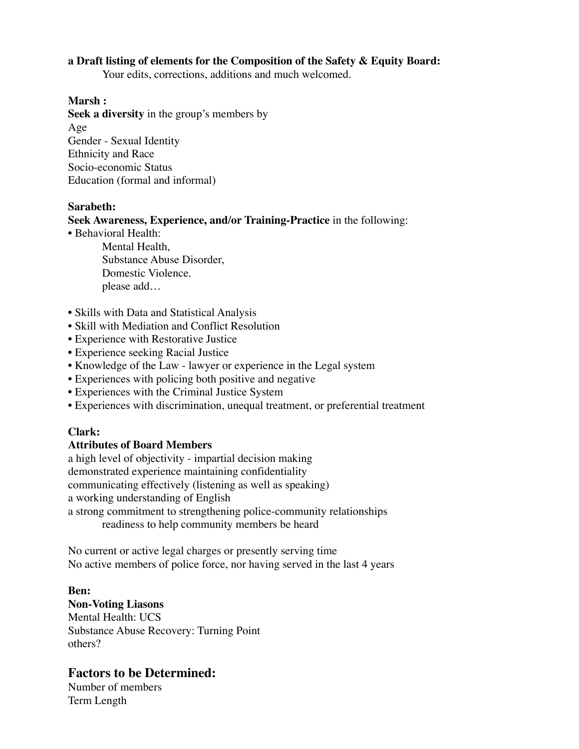## **a Draft listing of elements for the Composition of the Safety & Equity Board:**

Your edits, corrections, additions and much welcomed.

## **Marsh :**

**Seek a diversity** in the group's members by Age Gender - Sexual Identity Ethnicity and Race Socio-economic Status Education (formal and informal)

#### **Sarabeth:**

### **Seek Awareness, Experience, and/or Training-Practice** in the following:

• Behavioral Health:

Mental Health, Substance Abuse Disorder, Domestic Violence. please add…

- Skills with Data and Statistical Analysis
- Skill with Mediation and Conflict Resolution
- Experience with Restorative Justice
- Experience seeking Racial Justice
- Knowledge of the Law lawyer or experience in the Legal system
- Experiences with policing both positive and negative
- Experiences with the Criminal Justice System
- Experiences with discrimination, unequal treatment, or preferential treatment

## **Clark:**

## **Attributes of Board Members**

a high level of objectivity - impartial decision making demonstrated experience maintaining confidentiality communicating effectively (listening as well as speaking) a working understanding of English a strong commitment to strengthening police-community relationships

readiness to help community members be heard

No current or active legal charges or presently serving time No active members of police force, nor having served in the last 4 years

**Ben: Non-Voting Liasons** Mental Health: UCS Substance Abuse Recovery: Turning Point others?

# **Factors to be Determined:**

Number of members Term Length